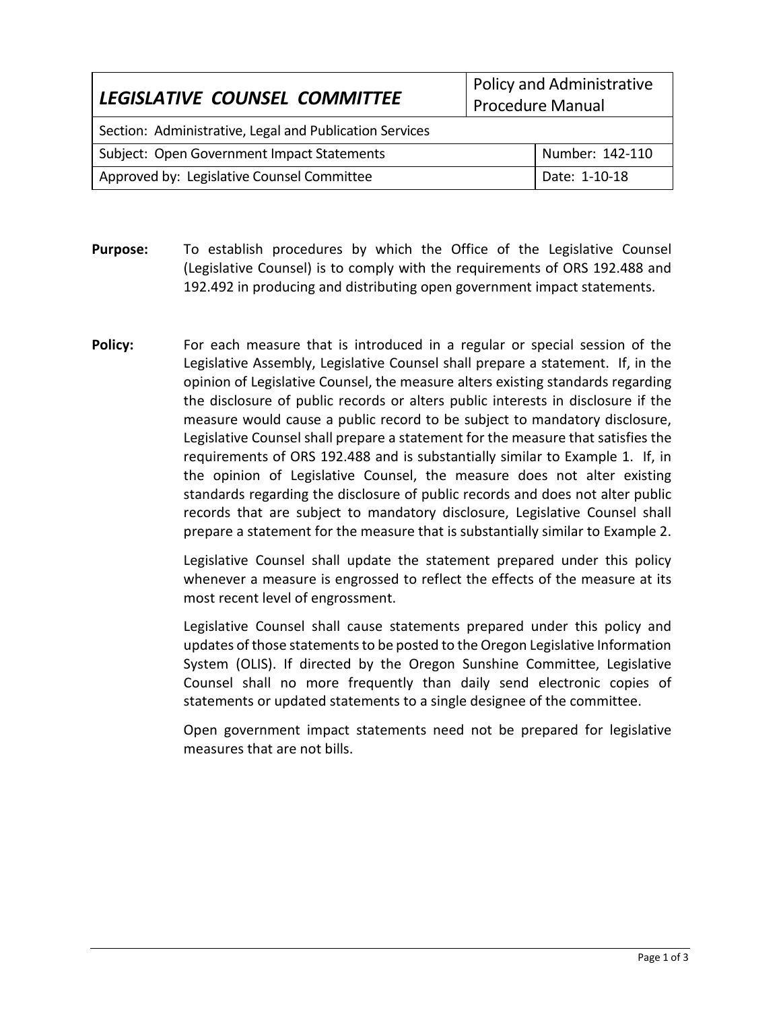| LEGISLATIVE COUNSEL COMMITTEE                           | Policy and Administrative<br>Procedure Manual |                 |
|---------------------------------------------------------|-----------------------------------------------|-----------------|
| Section: Administrative, Legal and Publication Services |                                               |                 |
| Subject: Open Government Impact Statements              |                                               | Number: 142-110 |
| Approved by: Legislative Counsel Committee              |                                               | Date: 1-10-18   |

- **Purpose:** To establish procedures by which the Office of the Legislative Counsel (Legislative Counsel) is to comply with the requirements of ORS 192.488 and 192.492 in producing and distributing open government impact statements.
- **Policy:** For each measure that is introduced in a regular or special session of the Legislative Assembly, Legislative Counsel shall prepare a statement. If, in the opinion of Legislative Counsel, the measure alters existing standards regarding the disclosure of public records or alters public interests in disclosure if the measure would cause a public record to be subject to mandatory disclosure, Legislative Counsel shall prepare a statement for the measure that satisfies the requirements of ORS 192.488 and is substantially similar to Example 1. If, in the opinion of Legislative Counsel, the measure does not alter existing standards regarding the disclosure of public records and does not alter public records that are subject to mandatory disclosure, Legislative Counsel shall prepare a statement for the measure that is substantially similar to Example 2.

Legislative Counsel shall update the statement prepared under this policy whenever a measure is engrossed to reflect the effects of the measure at its most recent level of engrossment.

Legislative Counsel shall cause statements prepared under this policy and updates of those statements to be posted to the Oregon Legislative Information System (OLIS). If directed by the Oregon Sunshine Committee, Legislative Counsel shall no more frequently than daily send electronic copies of statements or updated statements to a single designee of the committee.

Open government impact statements need not be prepared for legislative measures that are not bills.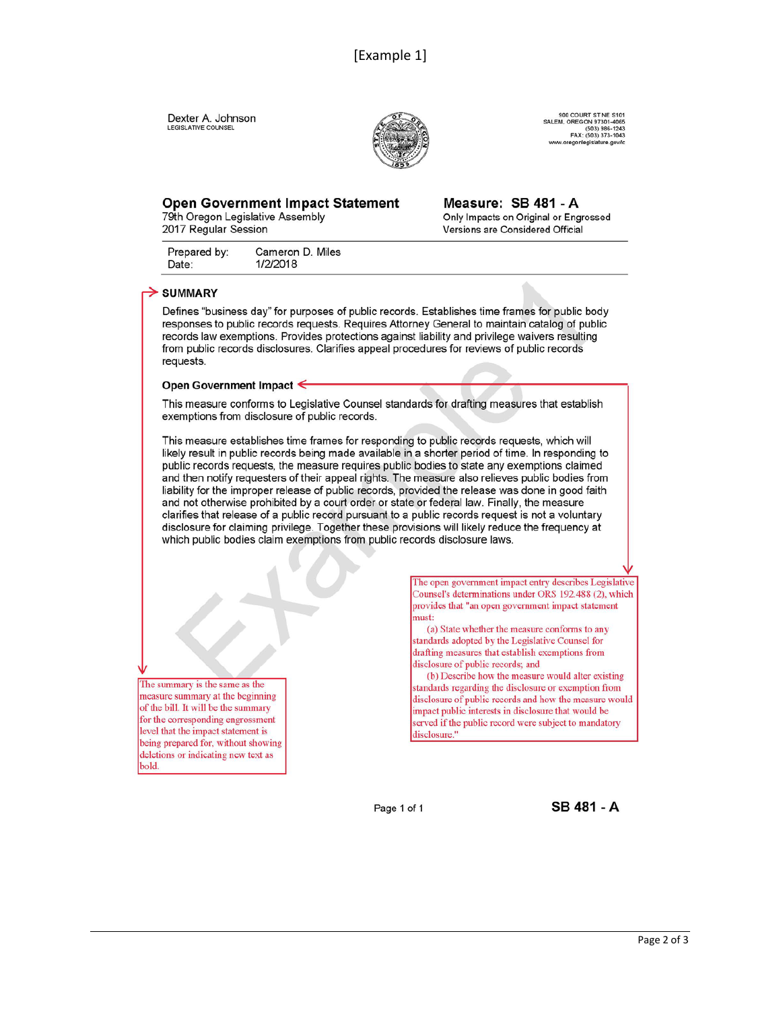Dexter A. Johnson LEGISLATIVE COUNSEL



900 COURT ST NE S101<br>SALEM, OREGON 97301-4065<br>(503) 986-1243<br>FAX: (503) 373-1043 egonlegislature.go

# **Open Government Impact Statement**

79th Oregon Legislative Assembly 2017 Regular Session

Measure: SB 481 - A Only Impacts on Original or Engrossed Versions are Considered Official

Prepared by: Cameron D. Miles 1/2/2018 Date:

### $\geq$  SUMMARY

Defines "business day" for purposes of public records. Establishes time frames for public body responses to public records requests. Requires Attorney General to maintain catalog of public records law exemptions. Provides protections against liability and privilege waivers resulting from public records disclosures. Clarifies appeal procedures for reviews of public records requests.

#### Open Government Impact ←

This measure conforms to Legislative Counsel standards for drafting measures that establish exemptions from disclosure of public records.

This measure establishes time frames for responding to public records requests, which will likely result in public records being made available in a shorter period of time. In responding to public records requests, the measure requires public bodies to state any exemptions claimed and then notify requesters of their appeal rights. The measure also relieves public bodies from liability for the improper release of public records, provided the release was done in good faith and not otherwise prohibited by a court order or state or federal law. Finally, the measure clarifies that release of a public record pursuant to a public records request is not a voluntary disclosure for claiming privilege. Together these provisions will likely reduce the frequency at which public bodies claim exemptions from public records disclosure laws.

The summary is the same as the measure summary at the beginning of the bill. It will be the summary for the corresponding engrossment level that the impact statement is being prepared for, without showing deletions or indicating new text as bold.

The open government impact entry describes Legislative Counsel's determinations under ORS 192.488 (2), which provides that "an open government impact statement must:

(a) State whether the measure conforms to any standards adopted by the Legislative Counsel for drafting measures that establish exemptions from disclosure of public records; and

(b) Describe how the measure would alter existing standards regarding the disclosure or exemption from disclosure of public records and how the measure would impact public interests in disclosure that would be served if the public record were subject to mandatory disclosure."

Page 1 of 1

**SB 481 - A**